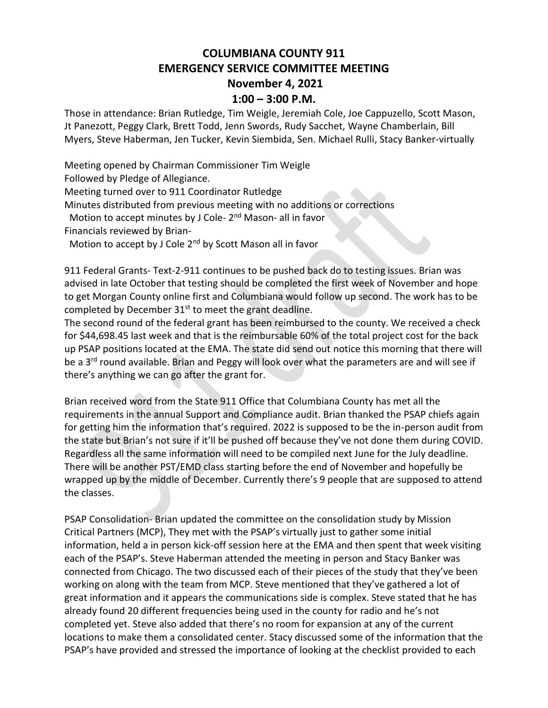## **COLUMBIANA COUNTY 911 EMERGENCY SERVICE COMMITTEE MEETING November 4, 2021 1:00 – 3:00 P.M.**

Those in attendance: Brian Rutledge, Tim Weigle, Jeremiah Cole, Joe Cappuzello, Scott Mason, Jt Panezott, Peggy Clark, Brett Todd, Jenn Swords, Rudy Sacchet, Wayne Chamberlain, Bill Myers, Steve Haberman, Jen Tucker, Kevin Siembida, Sen. Michael Rulli, Stacy Banker-virtually

Meeting opened by Chairman Commissioner Tim Weigle

Followed by Pledge of Allegiance.

Meeting turned over to 911 Coordinator Rutledge

Minutes distributed from previous meeting with no additions or corrections

Motion to accept minutes by J Cole- 2<sup>nd</sup> Mason- all in favor

Financials reviewed by Brian-

Motion to accept by J Cole 2<sup>nd</sup> by Scott Mason all in favor

911 Federal Grants- Text-2-911 continues to be pushed back do to testing issues. Brian was advised in late October that testing should be completed the first week of November and hope to get Morgan County online first and Columbiana would follow up second. The work has to be completed by December  $31<sup>st</sup>$  to meet the grant deadline.

The second round of the federal grant has been reimbursed to the county. We received a check for \$44,698.45 last week and that is the reimbursable 60% of the total project cost for the back up PSAP positions located at the EMA. The state did send out notice this morning that there will be a 3<sup>rd</sup> round available. Brian and Peggy will look over what the parameters are and will see if there's anything we can go after the grant for.

Brian received word from the State 911 Office that Columbiana County has met all the requirements in the annual Support and Compliance audit. Brian thanked the PSAP chiefs again for getting him the information that's required. 2022 is supposed to be the in-person audit from the state but Brian's not sure if it'll be pushed off because they've not done them during COVID. Regardless all the same information will need to be compiled next June for the July deadline. There will be another PST/EMD class starting before the end of November and hopefully be wrapped up by the middle of December. Currently there's 9 people that are supposed to attend the classes.

PSAP Consolidation- Brian updated the committee on the consolidation study by Mission Critical Partners (MCP), They met with the PSAP's virtually just to gather some initial information, held a in person kick-off session here at the EMA and then spent that week visiting each of the PSAP's. Steve Haberman attended the meeting in person and Stacy Banker was connected from Chicago. The two discussed each of their pieces of the study that they've been working on along with the team from MCP. Steve mentioned that they've gathered a lot of great information and it appears the communications side is complex. Steve stated that he has already found 20 different frequencies being used in the county for radio and he's not completed yet. Steve also added that there's no room for expansion at any of the current locations to make them a consolidated center. Stacy discussed some of the information that the PSAP's have provided and stressed the importance of looking at the checklist provided to each